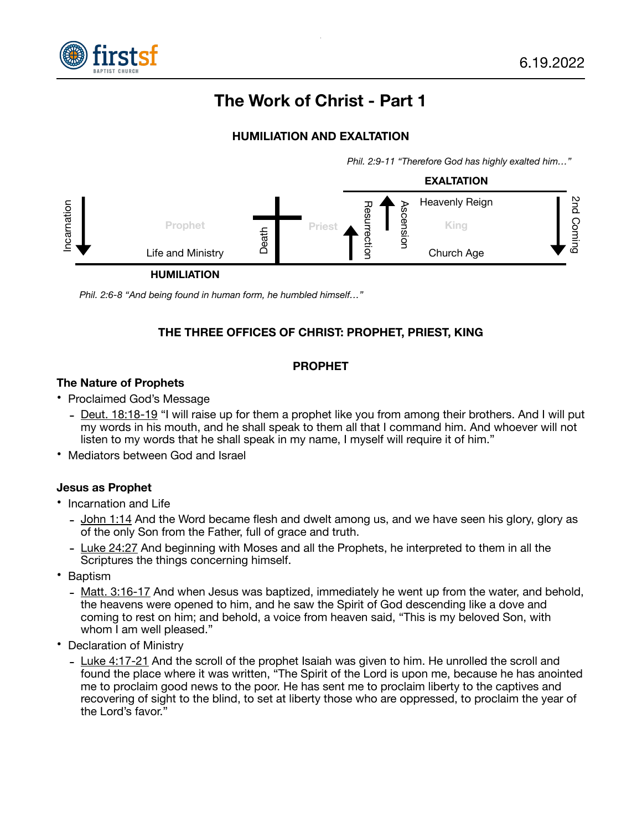

# **The Work of Christ - Part 1**

## **HUMILIATION AND EXALTATION**

*Phil. 2:9-11 "Therefore God has highly exalted him…"* 



*Phil. 2:6-8 "And being found in human form, he humbled himself…"* 

# **THE THREE OFFICES OF CHRIST: PROPHET, PRIEST, KING**

#### **PROPHET**

#### **The Nature of Prophets**

- Proclaimed God's Message
	- Deut. 18:18-19 "I will raise up for them a prophet like you from among their brothers. And I will put my words in his mouth, and he shall speak to them all that I command him. And whoever will not listen to my words that he shall speak in my name, I myself will require it of him."
- Mediators between God and Israel

#### **Jesus as Prophet**

- Incarnation and Life
	- John 1:14 And the Word became flesh and dwelt among us, and we have seen his glory, glory as of the only Son from the Father, full of grace and truth.
	- Luke 24:27 And beginning with Moses and all the Prophets, he interpreted to them in all the Scriptures the things concerning himself.
- Baptism
	- Matt. 3:16-17 And when Jesus was baptized, immediately he went up from the water, and behold, the heavens were opened to him, and he saw the Spirit of God descending like a dove and coming to rest on him; and behold, a voice from heaven said, "This is my beloved Son, with whom I am well pleased."
- Declaration of Ministry
	- Luke 4:17-21 And the scroll of the prophet Isaiah was given to him. He unrolled the scroll and found the place where it was written, "The Spirit of the Lord is upon me, because he has anointed me to proclaim good news to the poor. He has sent me to proclaim liberty to the captives and recovering of sight to the blind, to set at liberty those who are oppressed, to proclaim the year of the Lord's favor."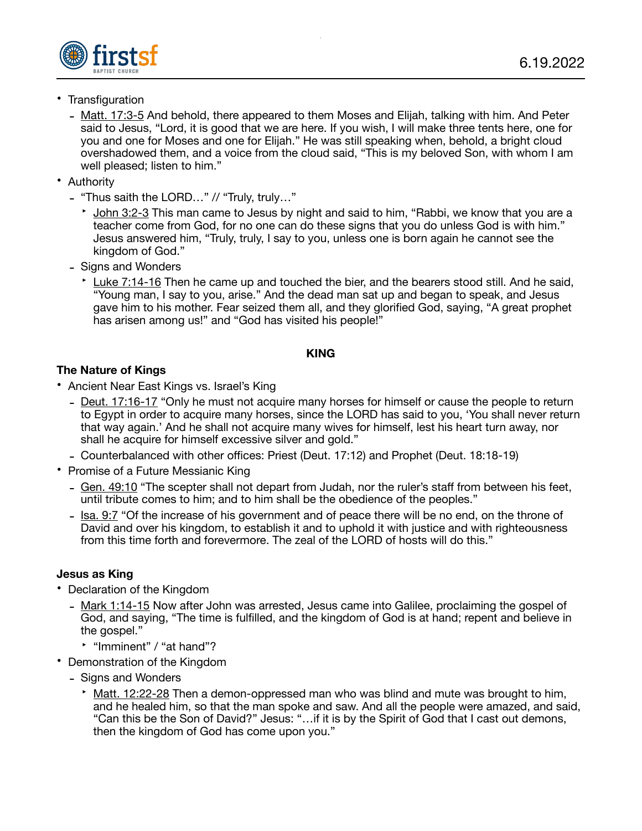

- Transfiguration
	- Matt. 17:3-5 And behold, there appeared to them Moses and Elijah, talking with him. And Peter said to Jesus, "Lord, it is good that we are here. If you wish, I will make three tents here, one for you and one for Moses and one for Elijah." He was still speaking when, behold, a bright cloud overshadowed them, and a voice from the cloud said, "This is my beloved Son, with whom I am well pleased; listen to him."
- Authority
	- "Thus saith the LORD…" // "Truly, truly…"
		- ‣ John 3:2-3 This man came to Jesus by night and said to him, "Rabbi, we know that you are a teacher come from God, for no one can do these signs that you do unless God is with him." Jesus answered him, "Truly, truly, I say to you, unless one is born again he cannot see the kingdom of God."
	- Signs and Wonders
		- ‣ Luke 7:14-16 Then he came up and touched the bier, and the bearers stood still. And he said, "Young man, I say to you, arise." And the dead man sat up and began to speak, and Jesus gave him to his mother. Fear seized them all, and they glorified God, saying, "A great prophet has arisen among us!" and "God has visited his people!"

## **KING**

# **The Nature of Kings**

- Ancient Near East Kings vs. Israel's King
	- Deut. 17:16-17 "Only he must not acquire many horses for himself or cause the people to return to Egypt in order to acquire many horses, since the LORD has said to you, 'You shall never return that way again.' And he shall not acquire many wives for himself, lest his heart turn away, nor shall he acquire for himself excessive silver and gold."
	- Counterbalanced with other offices: Priest (Deut. 17:12) and Prophet (Deut. 18:18-19)
- Promise of a Future Messianic King
	- Gen. 49:10 "The scepter shall not depart from Judah, nor the ruler's staff from between his feet. until tribute comes to him; and to him shall be the obedience of the peoples."
	- Isa. 9:7 "Of the increase of his government and of peace there will be no end, on the throne of David and over his kingdom, to establish it and to uphold it with justice and with righteousness from this time forth and forevermore. The zeal of the LORD of hosts will do this."

## **Jesus as King**

- Declaration of the Kingdom
	- Mark 1:14-15 Now after John was arrested, Jesus came into Galilee, proclaiming the gospel of God, and saying, "The time is fulfilled, and the kingdom of God is at hand; repent and believe in the gospel."
		- ‣ "Imminent" / "at hand"?
- Demonstration of the Kingdom
	- Signs and Wonders
		- $\cdot$  Matt. 12:22-28 Then a demon-oppressed man who was blind and mute was brought to him, and he healed him, so that the man spoke and saw. And all the people were amazed, and said, "Can this be the Son of David?" Jesus: "…if it is by the Spirit of God that I cast out demons, then the kingdom of God has come upon you."